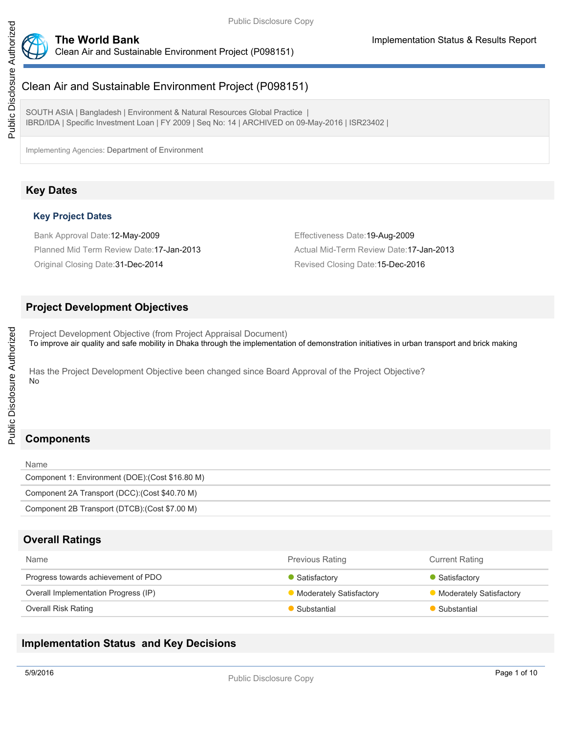

# Clean Air and Sustainable Environment Project (P098151)

SOUTH ASIA | Bangladesh | Environment & Natural Resources Global Practice | IBRD/IDA | Specific Investment Loan | FY 2009 | Seq No: 14 | ARCHIVED on 09-May-2016 | ISR23402 |

Implementing Agencies: Department of Environment

# **Key Dates**

### **Key Project Dates**

Bank Approval Date:12-May-2009 Effectiveness Date:19-Aug-2009 Planned Mid Term Review Date:17-Jan-2013 **Actual Mid-Term Review Date:17-Jan-2013** Original Closing Date:31-Dec-2014 Revised Closing Date:15-Dec-2016

## **Project Development Objectives**

Project Development Objective (from Project Appraisal Document) To improve air quality and safe mobility in Dhaka through the implementation of demonstration initiatives in urban transport and brick making

Has the Project Development Objective been changed since Board Approval of the Project Objective? No

# **Components**

# **Overall Ratings**

| <b>Name</b>                          | <b>Previous Rating</b>         | <b>Current Rating</b>   |
|--------------------------------------|--------------------------------|-------------------------|
| Progress towards achievement of PDO  | Satisfactory                   | • Satisfactory          |
| Overall Implementation Progress (IP) | <b>Moderately Satisfactory</b> | Moderately Satisfactory |
| <b>Overall Risk Rating</b>           | Substantial                    | Substantial             |

# **Implementation Status and Key Decisions**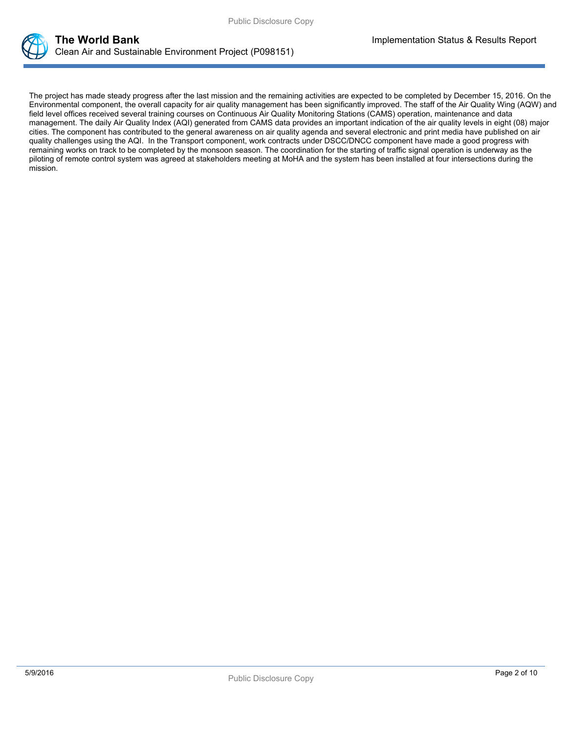



The project has made steady progress after the last mission and the remaining activities are expected to be completed by December 15, 2016. On the Environmental component, the overall capacity for air quality management has been significantly improved. The staff of the Air Quality Wing (AQW) and field level offices received several training courses on Continuous Air Quality Monitoring Stations (CAMS) operation, maintenance and data management. The daily Air Quality Index (AQI) generated from CAMS data provides an important indication of the air quality levels in eight (08) major cities. The component has contributed to the general awareness on air quality agenda and several electronic and print media have published on air quality challenges using the AQI. In the Transport component, work contracts under DSCC/DNCC component have made a good progress with remaining works on track to be completed by the monsoon season. The coordination for the starting of traffic signal operation is underway as the piloting of remote control system was agreed at stakeholders meeting at MoHA and the system has been installed at four intersections during the mission.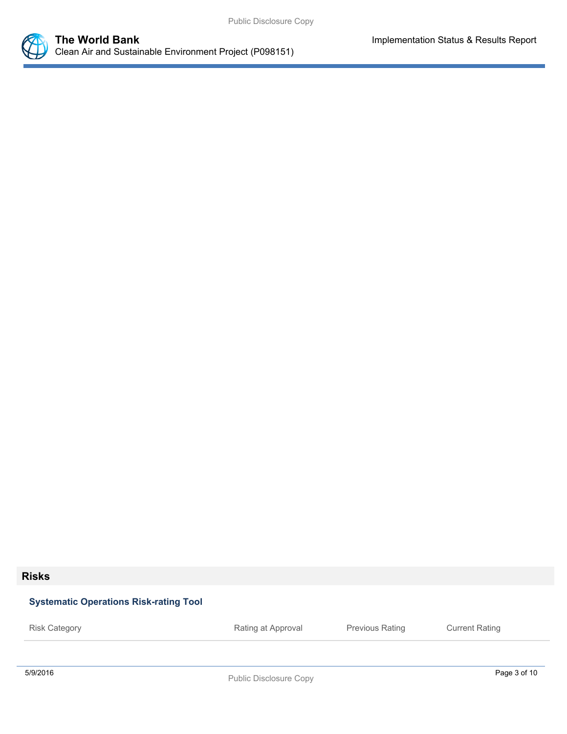

# **Risks**

# **Systematic Operations Risk-rating Tool**

5/9/2016 Page 3 of 10 Public Disclosure Copy Risk Category **Rating at Approval** Previous Rating Current Rating Previous Rating Current Rating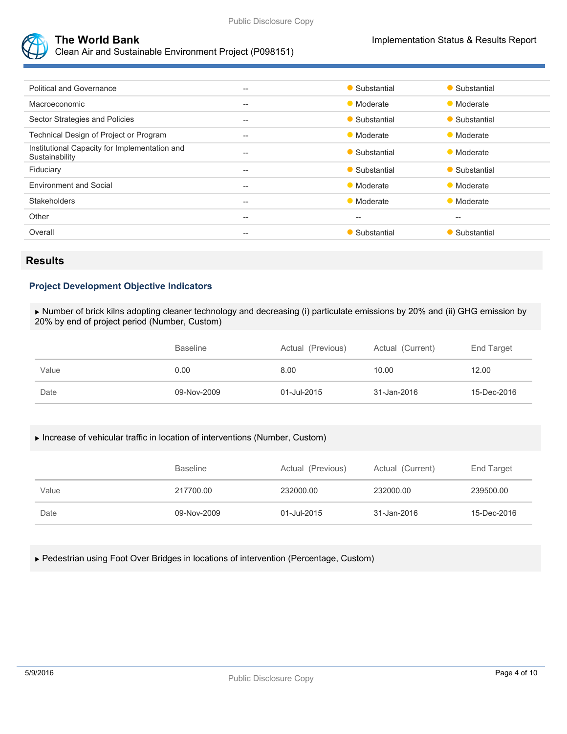



Clean Air and Sustainable Environment Project (P098151)

| <b>Political and Governance</b>                                 | $--$  | • Substantial | • Substantial |
|-----------------------------------------------------------------|-------|---------------|---------------|
| Macroeconomic                                                   | $- -$ | • Moderate    | • Moderate    |
| Sector Strategies and Policies                                  | $- -$ | • Substantial | • Substantial |
| Technical Design of Project or Program                          | --    | • Moderate    | • Moderate    |
| Institutional Capacity for Implementation and<br>Sustainability | $--$  | • Substantial | • Moderate    |
| Fiduciary                                                       | $- -$ | • Substantial | • Substantial |
| <b>Environment and Social</b>                                   | $--$  | • Moderate    | • Moderate    |
| <b>Stakeholders</b>                                             | $--$  | • Moderate    | • Moderate    |
| Other                                                           | $- -$ | $- -$         | $-$           |
| Overall                                                         | $--$  | • Substantial | • Substantial |
|                                                                 |       |               |               |

## **Results**

### **Project Development Objective Indicators**

 Number of brick kilns adopting cleaner technology and decreasing (i) particulate emissions by 20% and (ii) GHG emission by 20% by end of project period (Number, Custom)

|       | <b>Baseline</b> | Actual (Previous) | Actual (Current) | End Target  |
|-------|-----------------|-------------------|------------------|-------------|
| Value | 0.00            | 8.00              | 10.00            | 12.00       |
| Date  | 09-Nov-2009     | 01-Jul-2015       | 31-Jan-2016      | 15-Dec-2016 |

### Increase of vehicular traffic in location of interventions (Number, Custom)

|       | <b>Baseline</b> | Actual (Previous) | Actual (Current) | End Target  |
|-------|-----------------|-------------------|------------------|-------------|
| Value | 217700.00       | 232000.00         | 232000.00        | 239500.00   |
| Date  | 09-Nov-2009     | 01-Jul-2015       | 31-Jan-2016      | 15-Dec-2016 |

### Pedestrian using Foot Over Bridges in locations of intervention (Percentage, Custom)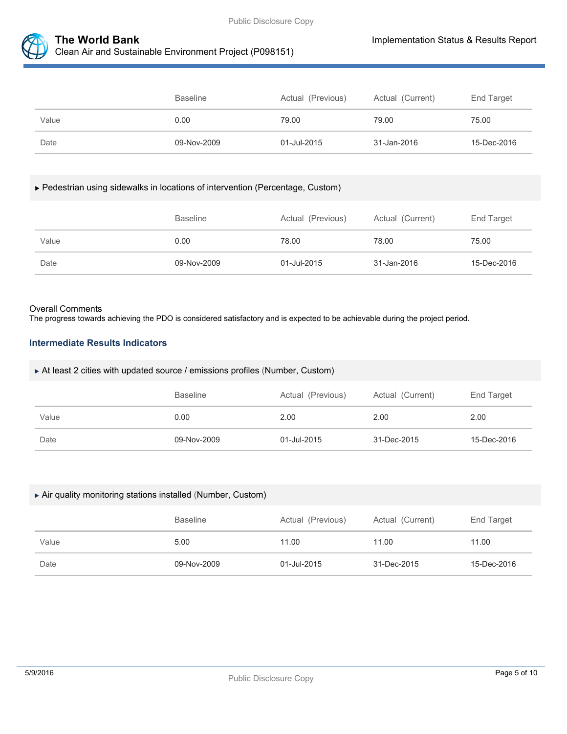



|       | <b>Baseline</b> | Actual (Previous) | Actual (Current) | End Target  |
|-------|-----------------|-------------------|------------------|-------------|
| Value | 0.00            | 79.00             | 79.00            | 75.00       |
| Date  | 09-Nov-2009     | 01-Jul-2015       | 31-Jan-2016      | 15-Dec-2016 |

#### Pedestrian using sidewalks in locations of intervention (Percentage, Custom)

|       | <b>Baseline</b> | Actual (Previous) | Actual (Current) | End Target  |
|-------|-----------------|-------------------|------------------|-------------|
| Value | 0.00            | 78.00             | 78.00            | 75.00       |
| Date  | 09-Nov-2009     | 01-Jul-2015       | 31-Jan-2016      | 15-Dec-2016 |

#### Overall Comments

The progress towards achieving the PDO is considered satisfactory and is expected to be achievable during the project period.

### **Intermediate Results Indicators**

#### At least 2 cities with updated source / emissions profiles (Number, Custom)

|       | <b>Baseline</b> | Actual (Previous) | Actual (Current) | End Target  |
|-------|-----------------|-------------------|------------------|-------------|
| Value | 0.00            | 2.00              | 2.00             | 2.00        |
| Date  | 09-Nov-2009     | 01-Jul-2015       | 31-Dec-2015      | 15-Dec-2016 |

#### Air quality monitoring stations installed (Number, Custom)

|       | <b>Baseline</b> | Actual (Previous) | Actual (Current) | End Target  |
|-------|-----------------|-------------------|------------------|-------------|
| Value | 5.00            | 11.00             | 11.00            | 11.00       |
| Date  | 09-Nov-2009     | 01-Jul-2015       | 31-Dec-2015      | 15-Dec-2016 |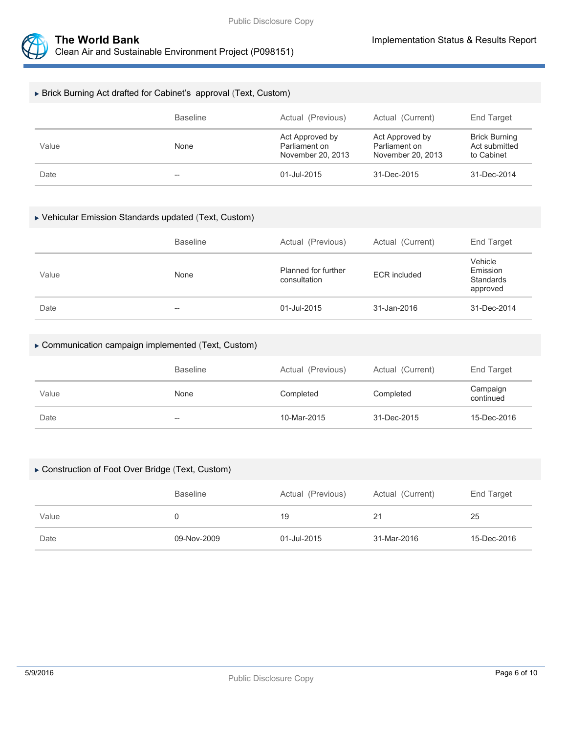



### Brick Burning Act drafted for Cabinet's approval (Text, Custom)

|       | <b>Baseline</b> | Actual (Previous)                                     | Actual (Current)                                      | End Target                                          |
|-------|-----------------|-------------------------------------------------------|-------------------------------------------------------|-----------------------------------------------------|
| Value | None            | Act Approved by<br>Parliament on<br>November 20, 2013 | Act Approved by<br>Parliament on<br>November 20, 2013 | <b>Brick Burning</b><br>Act submitted<br>to Cabinet |
| Date  | $- -$           | 01-Jul-2015                                           | 31-Dec-2015                                           | 31-Dec-2014                                         |

#### Vehicular Emission Standards updated (Text, Custom)

|       | <b>Baseline</b> | Actual (Previous)                   | Actual (Current)    | End Target                                   |
|-------|-----------------|-------------------------------------|---------------------|----------------------------------------------|
| Value | None            | Planned for further<br>consultation | <b>ECR</b> included | Vehicle<br>Emission<br>Standards<br>approved |
| Date  | $- -$           | 01-Jul-2015                         | 31-Jan-2016         | 31-Dec-2014                                  |

#### Communication campaign implemented (Text, Custom)

|       | Baseline | Actual (Previous) | Actual (Current) | End Target            |
|-------|----------|-------------------|------------------|-----------------------|
| Value | None     | Completed         | Completed        | Campaign<br>continued |
| Date  | $- -$    | 10-Mar-2015       | 31-Dec-2015      | 15-Dec-2016           |

#### Construction of Foot Over Bridge (Text, Custom)

|       | Actual (Previous)<br><b>Baseline</b> |             | Actual (Current) | End Target  |  |
|-------|--------------------------------------|-------------|------------------|-------------|--|
| Value |                                      | 19          | 21               | 25          |  |
| Date  | 09-Nov-2009                          | 01-Jul-2015 | 31-Mar-2016      | 15-Dec-2016 |  |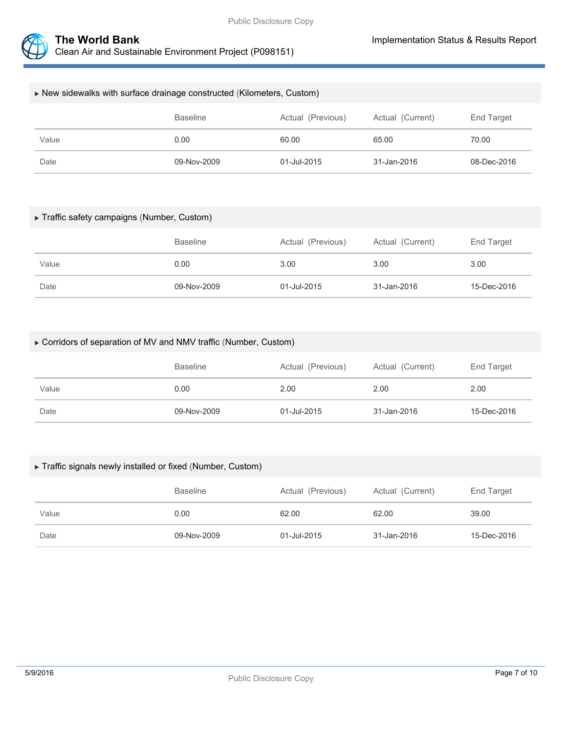

| $\triangleright$ New sidewalks with surface drainage constructed (Kilometers, Custom) |      |       |       |       |  |  |  |
|---------------------------------------------------------------------------------------|------|-------|-------|-------|--|--|--|
| <b>Baseline</b><br>Actual (Previous)<br>Actual (Current)<br>End Target                |      |       |       |       |  |  |  |
| Value                                                                                 | 0.00 | 60.00 | 65.00 | 70.00 |  |  |  |
| 09-Nov-2009<br>31-Jan-2016<br>08-Dec-2016<br>Date<br>01-Jul-2015                      |      |       |       |       |  |  |  |

### Traffic safety campaigns (Number, Custom)

|       | Actual (Previous)<br><b>Baseline</b> |             | Actual (Current) | End Target  |
|-------|--------------------------------------|-------------|------------------|-------------|
| Value | 0.00                                 | 3.00        | 3.00             | 3.00        |
| Date  | 09-Nov-2009                          | 01-Jul-2015 | 31-Jan-2016      | 15-Dec-2016 |

### Corridors of separation of MV and NMV traffic (Number, Custom)

|       | Actual (Previous)<br><b>Baseline</b> |             | Actual (Current) | End Target  |
|-------|--------------------------------------|-------------|------------------|-------------|
| Value | 0.00                                 | 2.00        | 2.00             | 2.00        |
| Date  | 09-Nov-2009                          | 01-Jul-2015 | 31-Jan-2016      | 15-Dec-2016 |

#### Traffic signals newly installed or fixed (Number, Custom)

|       | Actual (Previous)<br><b>Baseline</b> |             | Actual (Current) | End Target  |
|-------|--------------------------------------|-------------|------------------|-------------|
| Value | 0.00                                 | 62.00       | 62.00            | 39.00       |
| Date  | 09-Nov-2009                          | 01-Jul-2015 | 31-Jan-2016      | 15-Dec-2016 |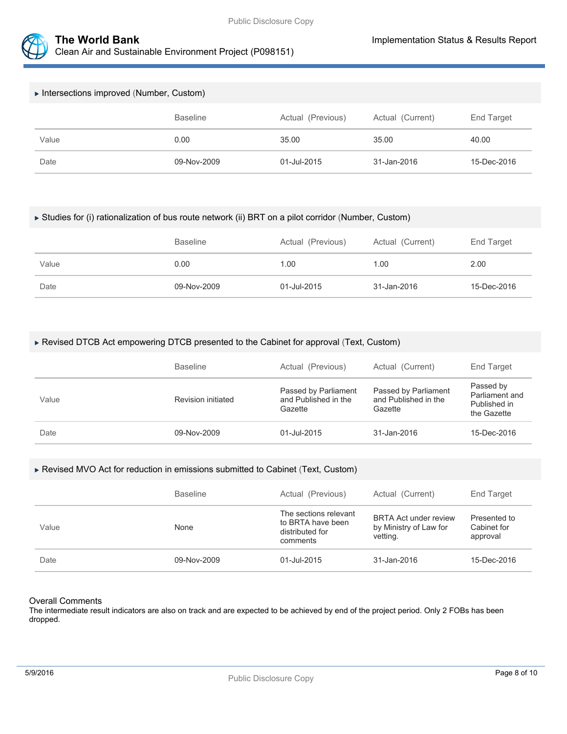



| Intersections improved (Number, Custom)                                |             |             |             |             |  |  |
|------------------------------------------------------------------------|-------------|-------------|-------------|-------------|--|--|
| Actual (Previous)<br>Actual (Current)<br><b>Baseline</b><br>End Target |             |             |             |             |  |  |
| Value                                                                  | 0.00        | 35.00       | 35.00       | 40.00       |  |  |
| Date                                                                   | 09-Nov-2009 | 01-Jul-2015 | 31-Jan-2016 | 15-Dec-2016 |  |  |

#### Studies for (i) rationalization of bus route network (ii) BRT on a pilot corridor (Number, Custom)

|       | Actual (Previous)<br><b>Baseline</b> |             | Actual (Current) | End Target  |  |
|-------|--------------------------------------|-------------|------------------|-------------|--|
| Value | 0.00                                 | 1.00        | 1.00             | 2.00        |  |
| Date  | 09-Nov-2009                          | 01-Jul-2015 | 31-Jan-2016      | 15-Dec-2016 |  |

#### Revised DTCB Act empowering DTCB presented to the Cabinet for approval (Text, Custom)

|       | <b>Baseline</b>    | Actual (Previous)                                       | Actual (Current)                                        | End Target                                                 |
|-------|--------------------|---------------------------------------------------------|---------------------------------------------------------|------------------------------------------------------------|
| Value | Revision initiated | Passed by Parliament<br>and Published in the<br>Gazette | Passed by Parliament<br>and Published in the<br>Gazette | Passed by<br>Parliament and<br>Published in<br>the Gazette |
| Date  | 09-Nov-2009        | 01-Jul-2015                                             | 31-Jan-2016                                             | 15-Dec-2016                                                |

#### Revised MVO Act for reduction in emissions submitted to Cabinet (Text, Custom)

|       | <b>Baseline</b> | Actual (Previous)                                                         | Actual (Current)                                                   | End Target                              |
|-------|-----------------|---------------------------------------------------------------------------|--------------------------------------------------------------------|-----------------------------------------|
| Value | None            | The sections relevant<br>to BRTA have been<br>distributed for<br>comments | <b>BRTA Act under review</b><br>by Ministry of Law for<br>vetting. | Presented to<br>Cabinet for<br>approval |
| Date  | 09-Nov-2009     | 01-Jul-2015                                                               | 31-Jan-2016                                                        | 15-Dec-2016                             |

#### Overall Comments

The intermediate result indicators are also on track and are expected to be achieved by end of the project period. Only 2 FOBs has been dropped.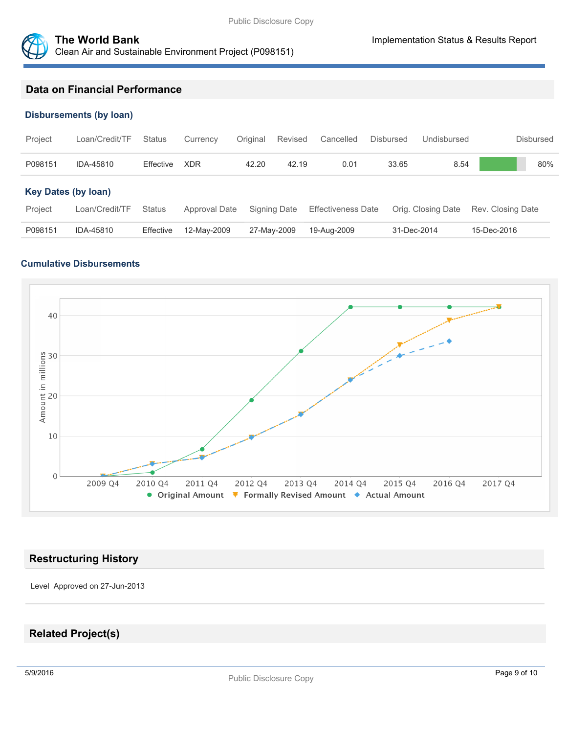

# **Data on Financial Performance**

#### **Disbursements (by loan)**

| Project                    | Loan/Credit/TF | <b>Status</b> | Currency      | Original | Revised      | Cancelled                 | <b>Disbursed</b> | Undisbursed        | <b>Disbursed</b>  |
|----------------------------|----------------|---------------|---------------|----------|--------------|---------------------------|------------------|--------------------|-------------------|
| P098151                    | IDA-45810      | Effective     | <b>XDR</b>    | 42.20    | 42.19        | 0.01                      | 33.65            | 8.54               | 80%               |
| <b>Key Dates (by loan)</b> |                |               |               |          |              |                           |                  |                    |                   |
| Project                    | Loan/Credit/TF | <b>Status</b> | Approval Date |          | Signing Date | <b>Effectiveness Date</b> |                  | Orig. Closing Date | Rev. Closing Date |
| P098151                    | IDA-45810      | Effective     | 12-May-2009   |          | 27-May-2009  | 19-Aug-2009               |                  | 31-Dec-2014        | 15-Dec-2016       |

### **Cumulative Disbursements**



### **Restructuring History**

Level Approved on 27-Jun-2013

# **Related Project(s)**